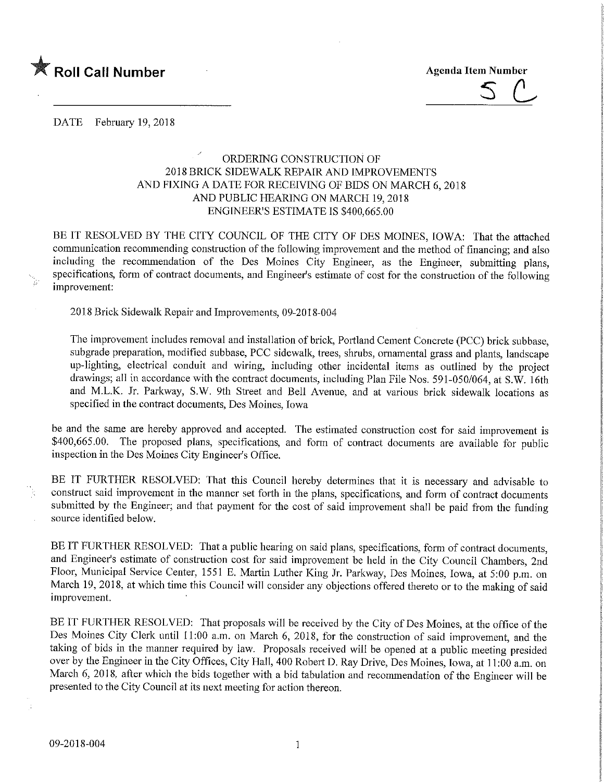

5 (L.

DATE February 19, 2018

## ORDERING CONSTRUCTION OF 2018 BRICK SIDEWALK REPAIR AND IMPROVEMENTS AND FIXING A DATE FOR RECEIVING OF BIDS ON MARCH 6,2018 AND PUBLIC HEARING ON MARCH 19,2018 ENGINEER'S ESTIMATE IS \$400,665.00

BE IT RESOLVED BY THE CITY COUNCIL OF THE CITY OF DES MOINES, IOWA: That the attached communication recommending construction of the following improvement and the method of financing; and also including the recommendation of the Des Moines City Engineer, as the Engineer, submitting plans, specifications, form of contract documents, and Engineer's estimate of cost for the construction of the following improvement:

2018 Brick Sidewalk Repair and Improvements, 09-2018-004

The improvement includes removal and installation of brick, Portland Cement Concrete (PCC) brick subbase, subgrade preparation, modified subbase, PCC sidewalk, trees, shrubs, ornamental grass and plants, landscape up-lighting, electrical conduit and wiring, including other incidental items as outlined by the project drawings; all in accordance with the contract documents, including Plan File Nos. 591-050/064, at S.W. 16th and M.L.K. Jr. Parkway, S.W. 9th Street and Bell Avenue, and at various brick sidewalk locations as specified in the contract documents, Des Moines, Iowa

be and the same are hereby approved and accepted. The estimated construction cost for said improvement is \$400,665.00. The proposed plans, specifications, and form of contract documents are available for public inspection in the Des Moines City Engineer's Office.

BE IT FURTHER RESOLVED: That this Council hereby determines that it is necessary and advisable to construct said improvement in the manner set forth in the plans, specifications, and form of contract documents submitted by the Engineer; and that payment for the cost of said improvement shall be paid from the funding source identified below.

BE IT FURTHER RESOLVED: That a public hearing on said plans, specifications, form of contract documents, and Engineer's estimate of construction cost for said improvement be held in the City Council Chambers, 2nd Floor, Municipal Service Center, 1551 E. Martin Luther King Jr. Parkway, Des Moines, Iowa, at 5:00 p.m. on March 19, 2018, at which time this Council will consider any objections offered thereto or to the making of said improvement.

BE IT FURTHER RESOLVED: That proposals will be received by the City of Des Moines, at the office of the Des Moines City Clerk until 11:00 a.m. on March 6, 2018, for the construction of said improvement, and the taking of bids in the manner required by law. Proposals received will be opened at a public meeting presided over by the Engineer in the City Offices, City Hall, 400 Robert D. Ray Drive, Des Moines, Iowa, at 11:00 a.m. on March 6, 2018, after which the bids together with a bid tabulation and recommendation of the Engineer will be presented to the City Council at its next meeting for action thereon.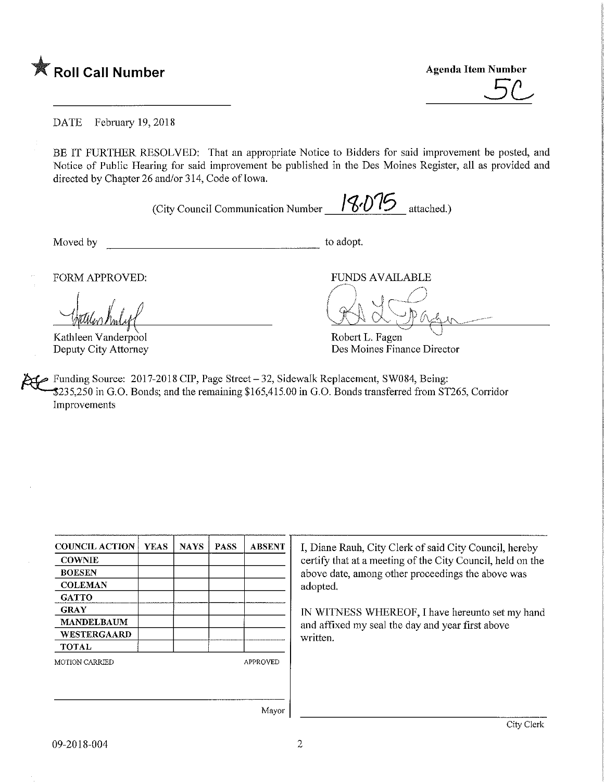

**Agenda Item Number** 

DATE February 19, 2018

BE IT FURTHER RESOLVED: That an appropriate Notice to Bidders for said improvement be posted, and Notice of Public Hearing for said improvement be published in the Des Moines Register, all as provided and directed by Chapter 26 and/or 314, Code of Iowa.

(City Council Communication Number  $\frac{180\%}{\ }$  attached.)

Moved by to adopt.

FORM APPROVED: THE RESERVED FUNDS AVAILABLE

Kathleen Vanderpool Deputy City Attorney

Robert L. Fagen Des Moines Finance Director

 $\to$   $\quad$   $\leftarrow$ 

Funding Source: 2017-2018 CEP, Page Street - 32, Sidewalk Replacement, SW084, Being: ;235,250 in G.O. Bonds; and the remaining \$165,415.00 in G.O. Bonds transferred from ST265, Corridor Improvements

| <b>COUNCIL ACTION</b> | <b>YEAS</b> | <b>NAYS</b> | <b>PASS</b> | <b>ABSENT</b> | I, Diane Rauh, City Clerk of said City Council, hereby     |
|-----------------------|-------------|-------------|-------------|---------------|------------------------------------------------------------|
| <b>COWNIE</b>         |             |             |             |               | certify that at a meeting of the City Council, held on the |
| <b>BOESEN</b>         |             |             |             |               | above date, among other proceedings the above was          |
| <b>COLEMAN</b>        |             |             |             |               | adopted.                                                   |
| <b>GATTO</b>          |             |             |             |               |                                                            |
| <b>GRAY</b>           |             |             |             |               | IN WITNESS WHEREOF, I have hereunto set my hand            |
| <b>MANDELBAUM</b>     |             |             |             |               | and affixed my seal the day and year first above           |
| <b>WESTERGAARD</b>    |             |             |             |               | written.                                                   |
| <b>TOTAL</b>          |             |             |             |               |                                                            |
| <b>MOTION CARRIED</b> |             |             |             | APPROVED      |                                                            |
|                       |             |             |             |               |                                                            |
|                       |             |             |             |               |                                                            |
|                       |             |             |             | Mayor         |                                                            |

09-2018-004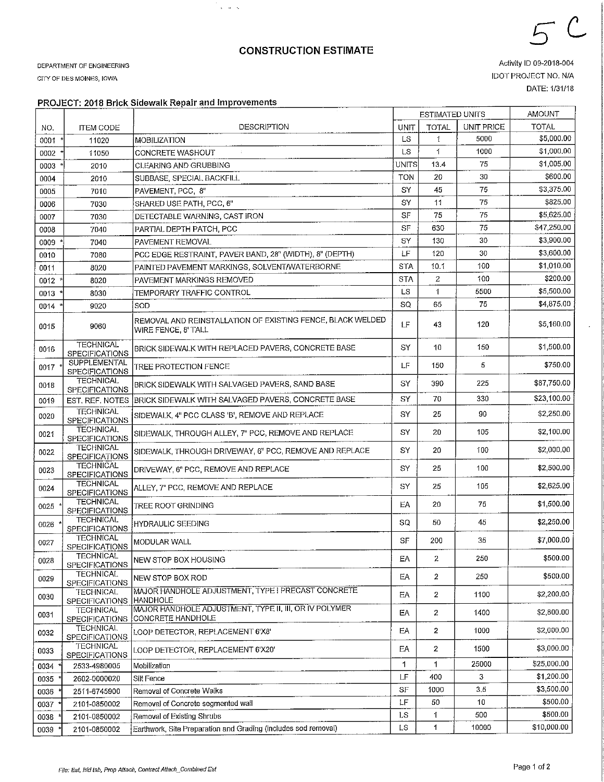## **CONSTRUCTION ESTIMATE**

े<br>पुरुष च

DEPARTMENT OF ENGINEERiNQ

CITY OF DES MOINES, IOWA

Activity ID 09-2018-004 IDOT PROJECT NO. N/A DATE: 1/31/18

 $\mathcal{C}$ 

## PROJECT: 2018 Brick Sidewalk Repair and improvements

|      |                                           | <b>FROJEDT: 2010 DHCK Studies Repair and http://editerres</b>                              |                             | <b>ESTIMATED UNITS</b> | <b>AMOUNT</b> |             |
|------|-------------------------------------------|--------------------------------------------------------------------------------------------|-----------------------------|------------------------|---------------|-------------|
| NO.  | <b>ITEM CODE</b>                          | <b>DESCRIPTION</b>                                                                         | <b>UNIT</b><br><b>TOTAL</b> |                        | UNIT PRICE    | TOTAL       |
| 0001 | 11020                                     | MOBILIZATION                                                                               | LS                          | 1                      | 5000          | \$5,000.00  |
| 0002 | 11050                                     | CONCRETE WASHOUT<br>÷                                                                      | <b>LS</b>                   | 1                      | 1000          | \$1,000.00  |
| 0003 | 2010                                      | CLEARING AND GRUBBING                                                                      |                             | 13.4                   | 75            | \$1,005.00  |
| 0004 | 2010                                      | SUBBASE, SPECIAL BACKFILL                                                                  |                             | 20                     | 30            | \$600.00    |
| 0005 | 7010                                      | PAVEMENT, PCC, 8"                                                                          |                             | 45                     | 75            | \$3,375.00  |
| 0006 | 7030                                      | SHARED USE PATH, PCC, 6"                                                                   |                             | 11                     | 75            | \$825.00    |
| 0007 | 7030                                      | DETECTABLE WARNING, CAST IRON                                                              |                             | 75                     | 75            | \$5,625.00  |
| 0008 | 7040                                      | PARTIAL DEPTH PATCH, PCC                                                                   |                             | 630                    | 75            | \$47,250,00 |
| 0009 | 7040                                      | PAVEMENT REMOVAL                                                                           |                             | 130                    | 30            | \$3,900.00  |
| 0010 | 7080                                      | PCC EDGE RESTRAINT, PAVER BAND, 28" (WIDTH), 8" (DEPTH)                                    |                             | 120                    | 30            | \$3,600.00  |
| 0011 | 8020                                      | PAINTED PAVEMENT MARKINGS, SOLVENT/WATERBORNE                                              |                             | 10.1                   | 100           | \$1,010.00  |
| 0012 | 8020                                      | PAVEMENT MARKINGS REMOVED                                                                  |                             | $\overline{2}$         | 100           | \$200.00    |
| 0013 | 8030                                      | TEMPORARY TRAFFIC CONTROL                                                                  |                             | 1                      | 5500          | \$5,500.00  |
| 0014 | 9020                                      | SOD                                                                                        | <b>SQ</b>                   | 65                     | 75            | \$4,875.00  |
| 0015 | 9060                                      | REMOVAL AND REINSTALLATION OF EXISTING FENCE, BLACK WELDED<br>WIRE FENCE, 8' TALL          |                             | 43                     | 120           | \$5,160.00  |
| 0016 | <b>TECHNICAL</b><br><b>SPECIFICATIONS</b> | BRICK SIDEWALK WITH REPLACED PAVERS, CONCRETE BASE                                         | SY                          | 10                     | 150           | \$1,500.00  |
| 0017 | SUPPLEMENTAL<br><b>SPECIFICATIONS</b>     | <b>TREE PROTECTION FENCE</b>                                                               | LF                          | 150                    | 5             | \$750.00    |
| 0018 | <b>TECHNICAL</b><br><b>SPECIFICATIONS</b> | BRICK SIDEWALK WITH SALVAGED PAVERS, SAND BASE                                             | SY                          | 390                    | 225           | \$87,750.00 |
| 0019 |                                           | EST. REF. NOTES   BRICK SIDEWALK WITH SALVAGED PAVERS, CONCRETE BASE                       | SY                          | 70                     | 330           | \$23,100.00 |
| 0020 | <b>TECHNICAL</b><br>SPECIFICATIONS        | SIDEWALK, 4" PCC CLASS 'B', REMOVE AND REPLACE                                             | SY                          | 25                     | 90            | \$2,250.00  |
| 0021 | <b>TECHNICAL</b><br>SPECIFICATIONS        | SIDEWALK, THROUGH ALLEY, 7" PCC, REMOVE AND REPLACE                                        | SY                          | 20                     | 105           | \$2,100.00  |
| 0022 | <b>TECHNICAL</b><br><b>SPECIFICATIONS</b> | SIDEWALK, THROUGH DRIVEWAY, 6" PCC, REMOVE AND REPLACE                                     | SY                          | 20                     | 100           | \$2,000.00  |
| 0023 | TECHNICAL<br><b>SPECIFICATIONS</b>        | DRIVEWAY, 6" PCC, REMOVE AND REPLACE                                                       | SY                          | 25                     | 100           | \$2,500.00  |
| 0024 | TECHNICAL<br><b>SPECIFICATIONS</b>        | ALLEY, 7" PCC, REMOVE AND REPLACE                                                          | SY                          | 25                     | 105           | \$2,625.00  |
| 0025 | <b>TECHNICAL</b><br><b>SPECIFICATIONS</b> | TREE ROOT GRINDING                                                                         | EΑ                          | 20                     | 75            | \$1,500.00  |
| 0026 | <b>TECHNICAL</b><br>SPECIFICATIONS        | HYDRAULIC SEEDING                                                                          | SQ                          | 50                     | 45            | \$2,250.00  |
| 0027 | TECHNICAL<br><b>SPECIFICATIONS</b>        | MODULAR WALL                                                                               | SF                          | 200                    | 35            | \$7,000.00  |
| 0028 | <b>TECHNICAL</b><br><b>SPECIFICATIONS</b> | NEW STOP BOX HOUSING                                                                       | EA                          | $\overline{2}$         | 250           | \$500.00    |
| 0029 | <b>TECHNICAL</b><br><b>SPECIFICATIONS</b> | NEW STOP BOX ROD                                                                           | EA                          | 2                      | 250           | \$500.00    |
| 0030 | <b>TECHNICAL</b><br>SPECIFICATIONS        | MAJOR HANDHOLE ADJUSTMENT, TYPE I PRECAST CONCRETE<br> HANDHOLE                            | EΑ                          | 2                      | 1100          | \$2,200.00  |
| 0031 | TECHNICAL                                 | MAJOR HANDHOLE ADJUSTMENT, TYPE II, III, OR IV POLYMER<br>SPECIFICATIONS CONCRETE HANDHOLE | EA                          | 2                      | 1400          | \$2,800.00  |
| 0032 | <b>TECHNICAL</b><br><b>SPECIFICATIONS</b> | LOOP DETECTOR, REPLACEMENT 6'X8'                                                           | EΑ                          | 2                      | 1000          | \$2,000.00  |
| 0033 | <b>TECHNICAL</b><br>SPECIFICATIONS        | LOOP DETECTOR, REPLACEMENT 6'X20'                                                          | EΑ                          | $\overline{c}$         | 1500          | \$3,000.00  |
| 0034 | 2533-4980005                              | Mobilization                                                                               | 1                           | 1                      | 25000         | \$25,000.00 |
| 0035 | 2602-0000020                              | Silt Fence                                                                                 | LF                          | 400                    | 3             | \$1,200.00  |
| 0036 | 2511-6745900                              | Removal of Concrete Walks                                                                  | <b>SF</b>                   | 1000                   | 3,5           | \$3,500.00  |
| 0037 | 2101-0850002                              | Removal of Concrete segmented wall                                                         | LF                          | 50                     | 10            | \$500.00    |
| 0038 | 2101-0850002                              | Removal of Existing Shrubs                                                                 | LS                          | 1                      | 500           | \$500.00    |
| 0039 | 2101-0850002                              | Earthwork, Site Preparation and Grading (includes sod removal)                             | LS                          | 1                      | 10000         | \$10,000.00 |